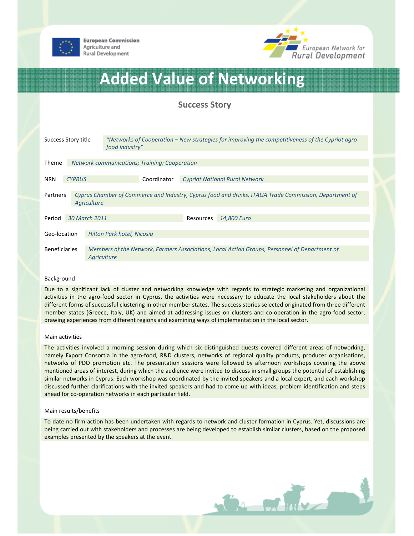



# Added Value of Networking

## Success Story

| Success Story title                                                                                                 |               | "Networks of Cooperation – New strategies for improving the competitiveness of the Cypriot agro-<br>food industry" |  |                                       |           |             |
|---------------------------------------------------------------------------------------------------------------------|---------------|--------------------------------------------------------------------------------------------------------------------|--|---------------------------------------|-----------|-------------|
|                                                                                                                     |               |                                                                                                                    |  |                                       |           |             |
| <b>Theme</b><br><b>Network communications; Training; Cooperation</b>                                                |               |                                                                                                                    |  |                                       |           |             |
|                                                                                                                     |               |                                                                                                                    |  |                                       |           |             |
| <b>CYPRUS</b><br><b>NRN</b>                                                                                         |               | Coordinator                                                                                                        |  | <b>Cypriot National Rural Network</b> |           |             |
| Cyprus Chamber of Commerce and Industry, Cyprus food and drinks, ITALIA Trade Commission, Department of<br>Partners |               |                                                                                                                    |  |                                       |           |             |
| Agriculture                                                                                                         |               |                                                                                                                    |  |                                       |           |             |
|                                                                                                                     |               |                                                                                                                    |  |                                       |           |             |
| Period                                                                                                              | 30 March 2011 |                                                                                                                    |  |                                       | Resources | 14,800 Euro |
|                                                                                                                     |               |                                                                                                                    |  |                                       |           |             |
| Geo-location                                                                                                        |               | Hilton Park hotel, Nicosia                                                                                         |  |                                       |           |             |
|                                                                                                                     |               |                                                                                                                    |  |                                       |           |             |
| <b>Beneficiaries</b>                                                                                                |               | Members of the Network, Farmers Associations, Local Action Groups, Personnel of Department of<br>Agriculture       |  |                                       |           |             |
|                                                                                                                     |               |                                                                                                                    |  |                                       |           |             |

### Background

Due to a significant lack of cluster and networking knowledge with regards to strategic marketing and organizational activities in the agro-food sector in Cyprus, the activities were necessary to educate the local stakeholders about the different forms of successful clustering in other member states. The success stories selected originated from three different member states (Greece, Italy, UK) and aimed at addressing issues on clusters and co-operation in the agro-food sector, drawing experiences from different regions and examining ways of implementation in the local sector.

### Main activities

The activities involved a morning session during which six distinguished quests covered different areas of networking, namely Export Consortia in the agro-food, R&D clusters, networks of regional quality products, producer organisations, networks of PDO promotion etc. The presentation sessions were followed by afternoon workshops covering the above mentioned areas of interest, during which the audience were invited to discuss in small groups the potential of establishing similar networks in Cyprus. Each workshop was coordinated by the invited speakers and a local expert, and each workshop discussed further clarifications with the invited speakers and had to come up with ideas, problem identification and steps ahead for co-operation networks in each particular field.

### Main results/benefits

To date no firm action has been undertaken with regards to network and cluster formation in Cyprus. Yet, discussions are being carried out with stakeholders and processes are being developed to establish similar clusters, based on the proposed examples presented by the speakers at the event.